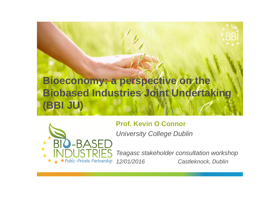



**Prof. Kevin O Connor**

*University College Dublin*

*Teagasc stakeholder consultation workshop 12/01/2016 Castleknock, Dublin*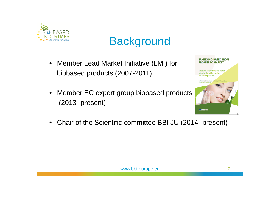

### **Background**

- Member Lead Market Initiative (LMI) for biobased products (2007-2011).
- Member EC expert group biobased products (2013- present)

| Measures to promote the market                                                                                                         |
|----------------------------------------------------------------------------------------------------------------------------------------|
| introduction of innovative                                                                                                             |
| bio-based products                                                                                                                     |
|                                                                                                                                        |
| A report from the Ad-hoc Advisory Group for Bio-based Products<br>in the framework of the European Commission's Lead Market Initiative |
| Published 3 November 2009                                                                                                              |
|                                                                                                                                        |
|                                                                                                                                        |
|                                                                                                                                        |
|                                                                                                                                        |
|                                                                                                                                        |
|                                                                                                                                        |
|                                                                                                                                        |
|                                                                                                                                        |
|                                                                                                                                        |
|                                                                                                                                        |
|                                                                                                                                        |
|                                                                                                                                        |
|                                                                                                                                        |

**TAKING BIO-BASED FROM PROMISE TO MARKET** 

• Chair of the Scientific committee BBI JU (2014- present)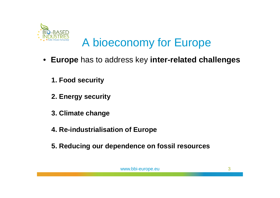

### A bioeconomy for Europe

- **Europe** has to address key **inter-related challenges**
	- **1. Food security**
	- **2. Energy security**
	- **3. Climate change**
	- **4. Re-industrialisation of Europe**
	- **5. Reducing our dependence on fossil resources**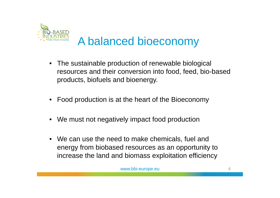

# A balanced bioeconomy

- The sustainable production of renewable biological resources and their conversion into food, feed, bio-based products, biofuels and bioenergy.
- Food production is at the heart of the Bioeconomy
- We must not negatively impact food production
- We can use the need to make chemicals, fuel and energy from biobased resources as an opportunity to increase the land and biomass exploitation efficiency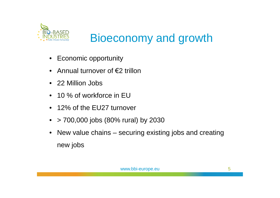

# Bioeconomy and growth

- Economic opportunity
- Annual turnover of €2 trillon
- 22 Million Jobs
- 10 % of workforce in EU
- 12% of the EU27 turnover
- $> 700,000$  jobs (80% rural) by 2030
- New value chains securing existing jobs and creating new jobs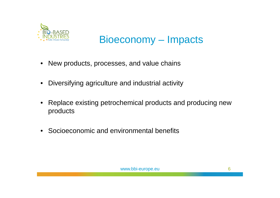

### Bioeconomy – Impacts

- New products, processes, and value chains
- Diversifying agriculture and industrial activity
- Replace existing petrochemical products and producing new products
- Socioeconomic and environmental benefits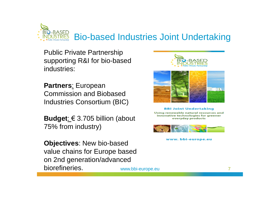

Public Private Partnership supporting R&I for bio-based industries:

**Partners**: European Commission and Biobased Industries Consortium (BIC)

**Budget**: € 3.705 billion (about 75% from industry)

**Objectives**: New bio-based value chains for Europe based on 2nd generation/advanced biorefineries.





**BBI Joint Undertaking** Using renewable natural resources and innovative technologies for greener everyday products



www.bbi-europe.eu

www.bbi-europe.eu 7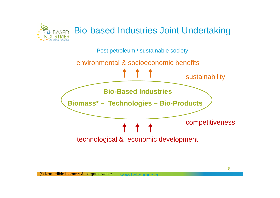

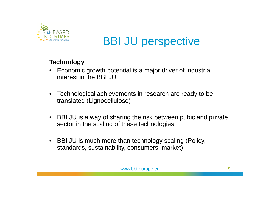

#### **Technology**

- Economic growth potential is a major driver of industrial interest in the BBI JU
- Technological achievements in research are ready to be translated (Lignocellulose)
- BBI JU is a way of sharing the risk between pubic and private sector in the scaling of these technologies
- BBI JU is much more than technology scaling (Policy, standards, sustainability, consumers, market)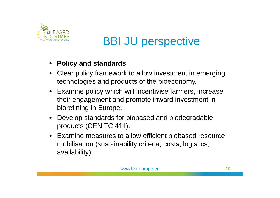

#### • **Policy and standards**

- Clear policy framework to allow investment in emerging technologies and products of the bioeconomy.
- Examine policy which will incentivise farmers, increase their engagement and promote inward investment in biorefining in Europe.
- Develop standards for biobased and biodegradable products (CEN TC 411).
- Examine measures to allow efficient biobased resource mobilisation (sustainability criteria; costs, logistics, availability).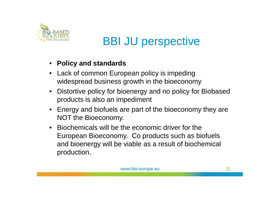

#### • **Policy and standards**

- Lack of common European policy is impeding widespread business growth in the bioeconomy
- Distortive policy for bioenergy and no policy for Biobased products is also an impediment
- Energy and biofuels are part of the bioeconomy they are NOT the Bioeconomy.
- Biochemicals will be the economic driver for the European Bioeconomy. Co products such as biofuels and bioenergy will be viable as a result of biochemical production.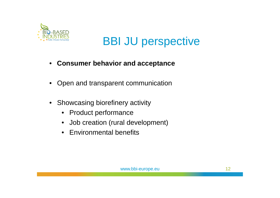

- **Consumer behavior and acceptance**
- Open and transparent communication
- Showcasing biorefinery activity
	- Product performance
	- Job creation (rural development)
	- Environmental benefits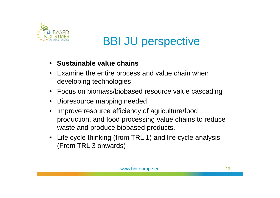

- **Sustainable value chains**
- Examine the entire process and value chain when developing technologies
- Focus on biomass/biobased resource value cascading
- Bioresource mapping needed
- Improve resource efficiency of agriculture/food production, and food processing value chains to reduce waste and produce biobased products.
- Life cycle thinking (from TRL 1) and life cycle analysis (From TRL 3 onwards)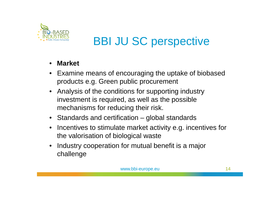

- **Market**
- Examine means of encouraging the uptake of biobased products e.g. Green public procurement
- Analysis of the conditions for supporting industry investment is required, as well as the possible mechanisms for reducing their risk.
- Standards and certification global standards
- Incentives to stimulate market activity e.g. incentives for the valorisation of biological waste
- Industry cooperation for mutual benefit is a major challenge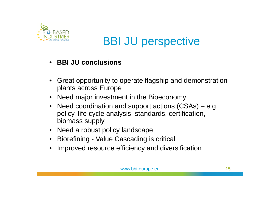

- **BBI JU conclusions**
- Great opportunity to operate flagship and demonstration plants across Europe
- Need major investment in the Bioeconomy
- Need coordination and support actions (CSAs) e.g. policy, life cycle analysis, standards, certification, biomass supply
- Need a robust policy landscape
- Biorefining Value Cascading is critical
- Improved resource efficiency and diversification